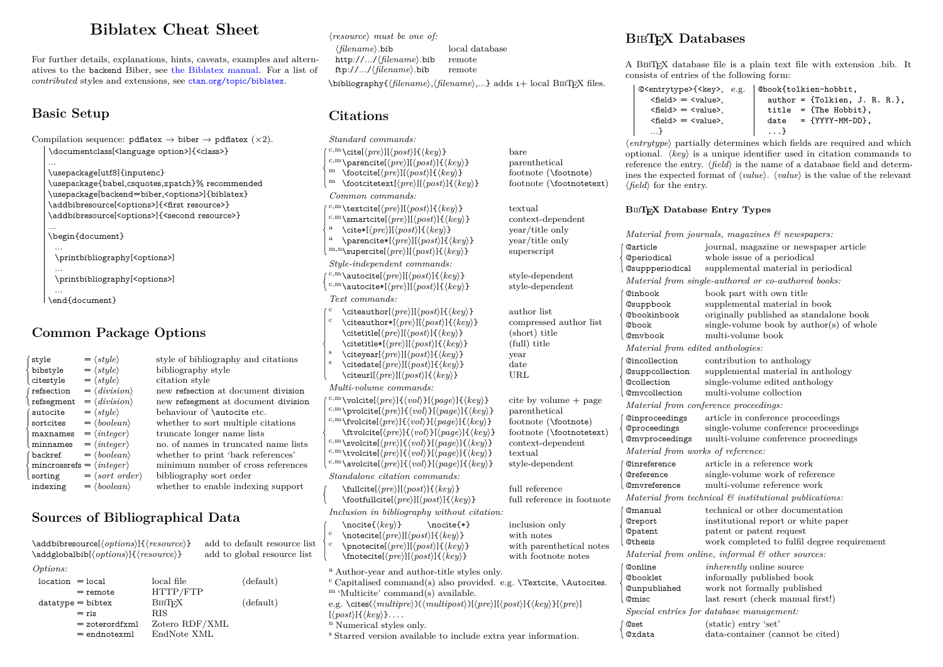# **Biblatex Cheat Sheet**

For further details, explanations, hints, caveats, examples and alternatives to the backend Biber, see [the Biblatex manual.](http://mirrors.ctan.org/macros/latex/contrib/biblatex/doc/biblatex.pdf) For a list of *contributed* styles and extensions, see [ctan.org/topic/biblatex](http://ctan.org/topic/biblatex).

# **Basic Setup**

Compilation sequence:  $pdf \text{atlex} \rightarrow \text{biber} \rightarrow \text{pdf \text{atlex}} (\times 2)$ . \documentclass[<language option>]{<class>} ... \usepackage[utf8]{inputenc}

\usepackage{babel,csquotes,xpatch}% recommended \usepackage[backend=biber,<options>]{biblatex} \addbibresource[<options>]{<first resource>} \addbibresource[<options>]{<second resource>}

... \begin{document}

... \printbibliography[<options>]

... \printbibliography[<options>]

... \end{document}

### **Common Package Options**

| style                                   | $= \langle style \rangle$           | style of bibliography and citations  |
|-----------------------------------------|-------------------------------------|--------------------------------------|
| bibstyle                                | $= \langle style \rangle$           | bibliography style                   |
| citestyle                               | $= \langle style \rangle$           | citation style                       |
| refsection                              | $= \langle \text{division} \rangle$ | new refsection at document division  |
| refsegment                              | $= \langle \text{division} \rangle$ | new refsegment at document division  |
| autocite                                | $=$ $\langle$ style $\rangle$       | behaviour of <i>\autocite etc.</i>   |
| sortcites                               | $= \langle boolean \rangle$         | whether to sort multiple citations   |
| maxnames                                | $= \langle \text{integer} \rangle$  | truncate longer name lists           |
| minnames                                | $= \langle \text{integer} \rangle$  | no. of names in truncated name lists |
| backref                                 | $= \langle boolean \rangle$         | whether to print 'back references'   |
| $mincrossres = \langle integer \rangle$ |                                     | minimum number of cross references   |
| sorting                                 | $=$ $\langle sort \ order \rangle$  | bibliography sort order              |
| indexing                                | $= \langle boolean \rangle$         | whether to enable indexing support   |

## **Sources of Bibliographical Data**

| $\adobibresource[options][{\nresource}]$<br>\addglobalbib[\options\]{\resource\} |                                    |                                                              | add to default resource list<br>add to global resource list | $\mathcal{C}$                                      |
|----------------------------------------------------------------------------------|------------------------------------|--------------------------------------------------------------|-------------------------------------------------------------|----------------------------------------------------|
| Options:                                                                         |                                    |                                                              |                                                             | $a$ <sub>/</sub>                                   |
| $location = local$<br>$=$ remote                                                 |                                    | local file<br>HTTP/FTP                                       | (default)                                                   | $\rm ^c$ (<br>m                                    |
| $datatype = bibtex$<br>$=$ ris                                                   | $=$ zoterordfxml<br>$=$ endnotexml | <b>BIBTEX</b><br><b>RIS</b><br>Zotero RDF/XML<br>EndNote XML | (default)                                                   | e.g<br>$\left[\langle \right\rangle$<br>n J<br>s S |

h*resource*i *must be one of:* h*filename*i.bib local database http://.../*/filename*/.bib ftp://.../*/filename*}.bib remote \bibliography{/*filename*},/*filename*},...} adds 1+ local BIBTEX files.

### **Citations**

*Standard commands:*

- <sup>c,m</sup>\cite[ $\langle pre \rangle$ ][ $\langle post \rangle$ ]{\*key*}} bare<br><sup>c,m</sup>\parencite[/pre}][/post}]{\*key*}} parenthetical <sup>c,m</sup>\parencite[ $\langle pre \rangle$ ][ $\langle post \rangle$ ]{ $\langle key \rangle$ } parenthetical<br><sup>m</sup> \footcite[ $\langle pre \rangle$ ][ $\langle key \rangle$ } footnote (\footnote)
- m \footcite[\pre}][\post}]{\helphast} footnote (\footnote) m<br>m \footcitetext[\pre}][\post}]{\helphast} footnote (\footnotetext)  $\text{m}$  \footcitetext[\*pre*\][\*post*\]{\*key*}}
- *Common commands:*

 $c,m$  \textcite[ $\langle pre \rangle$ ][ $\langle post \rangle$ ]{ $\langle key \rangle$ } textual <sup>c,m</sup>\smartcite[ $\langle pre \rangle$ ][ $\langle key \rangle$ } context-dependent<br><sup>a</sup> \cite\*[ $\langle pre \rangle$ ][ $\langle key \rangle$ } vear/title only a \cite\*[\pre\][\\post\)]{\\fre\left\} \permette\*[\pre\][\\post\)]{\\frac{\left\} year/title only \text\} \permette\*[\the \permumation \text\} \frac{\left\} \frac{\left\}} \chura} \end{\left\} \frac{\left\} \frac{\left\} \  $\partial$  \parencite\*[ $\langle pre \rangle$ ][ $\langle post \rangle$ ]{ $\langle key \rangle$ } m,n\supercite[ $\langle pre \rangle$ ][ $\langle post \rangle$ ]{ $\langle key \rangle$ } superscript *Style-independent commands:*  $c, m\hat{}$  autocite $\langle pre \rangle$   $[\langle post \rangle]{\langle key \rangle}$  style-dependent  $\langle m \rangle$  style-dependent style-dependent  $\binom{c,m}{\text{autocite*}[\langle pre \rangle][\langle post \rangle]{\langle key \rangle}}$ 

*Text commands:*

\citeauthor[\free}][\free}]{\free}[\free}]{\free}]{\free}} author list<br>\citeauthor\*[\free}][\free}} compressed author list <sup>c</sup> \citeauthor\*[h*pre*i][h*post*i]{h*key*i} compressed author list \citetitle[\pre\left[\frac{l}{\pre\left(\pre\left(\pre\left(\pre\left(\pre\left(\pre\left(\pre\left(\pre\left(\pre\left(\pre\left(\pre\left(\pre\left(\pre\left(\pre\left(\pre\left(\pre\left(\pre\left(\pre\left(\pre\left(\p  $\left\{ \langle pre \rangle \right] \{ \langle key \rangle \}$  $\text{citevear}[\langle pre \rangle][\langle post \rangle]{\langle key \rangle}$  year <sup>s</sup> \citedate[h*pre*i][h*post*i]{h*key*i} date  $\tilde{\langle}$ *pre*}][ $\langle post \rangle$ ]{ $\langle key \rangle$ } *Multi-volume commands:*  $\langle c,m\rangle$ <sub>volcite</sub> $\langle pre\rangle$ ] $\{ \langle vol \rangle\}$ [ $\langle page \rangle$ ] $\{ \langle key \rangle\}$  cite by volume + page

<sup>c,m</sup>\pvolcite[*(pre*)]{*(vol*)}[*(page*)]{*(key)*} parenthetical  $\sum_{n=1}^{\infty}$  parenthetical particle in the control of the control of the control of the control of the control of the control of the control of the contro  $\text{c,m}\$ tvolcite[ $\langle pre \rangle$ ]{ $\langle vol \rangle$ ] $\{ \langle page \rangle$ ]{ $\langle key \rangle$ } \ftvolcite[*(pre*)]{*(vol*)}[*(page*)]{*(key)*} footnote (\footnotetext)<br><sup>a</sup>\svolcite[*(pre*)]{*(yol)*}[*(page*)]{*(key)*} context-dependent <sup>c,m</sup>\svolcite[(pre)]{(vol)}[(page)]{(key)} context<br><sup>c,m</sup>\tvolcite[(pre)]{(vol)}[(page)]{(key)} textual  $c, m \text{tvolcite}[\langle pre \rangle] {\hat{\otimes} [nq]}[\langle page \rangle] {\hat{\otimes} [nq]}$  $\langle c,m\rangle$ <sub>avolcite</sub> $\langle pre\rangle$ ]{ $\langle vol\rangle$ }[ $\langle page\rangle$ ]{ $\langle key\rangle$ } style-dependent *Standalone citation commands:*

 $\tilde{\mathcal{h}}(por)$ [*\fullcite[\pre*}][\*post*}]{\*key*} full reference in footnote  $\to$ footfullcite[ $\langle pre \rangle$ ][ $\langle host \rangle$ ]  $\{ \langle key \rangle \}$ *Inclusion in bibliography without citation:*

- $\n\cdot\text{f}(key)$  \nocite{\*} inclusion only  $\n\{\n \phi(\n p\phi)\n \{h\phi(\n p\phi(\n p\phi(\n p\phi(\n p\phi(\n p\phi(\n p\phi(\n p\phi(\n p\phi(\n p\phi(\n p\phi(\n p\phi(\n p\phi(\n p\phi(\n p\phi(\n p\phi(\n p\phi(\n p\phi(\n p\phi(\n p\phi(\n p\phi(\n p\phi(\n p\phi(\n p\phi(\n p\phi(\n p\phi(\n p\phi(\n p\phi(\n p\phi(\n p\phi(\n p\phi(\n p\phi(\n p\phi(\n p\phi$  $\pmb{\text{[pre][[post][[best]}}$  with parenthetical notes<br>\fnotecite[\pre\][\phost\]{\le \le \text{phi \text{phi}}} with footnote notes  $\frac{\frac{h}{\text{total}}}{\text{delta}}$ Author-year and author-title styles only.
- Capitalised command(s) also provided. e.g.  $\text{Textcite}, \text{Autocities}.$ 'Multicite' command(s) available.  $\langle$ . \cites(\*multipre*))(\*multipost*\)[\*pre*}][\*post*\){\*key*}[\*pre*}]

 $\{best\}$  $\{\langle key \rangle\}$ . . . .

Numerical styles only.

starred version available to include extra year information.

# **<sup>B</sup>**ib**TEX Databases**

A BibTEX database file is a plain text file with extension .bib. It consists of entries of the following form:

```
@<entrytype>{<key>, e.g.
\langlefield> = \langlevalue>,
<field> = <value>.
\langle \text{false} \rangle = \langle \text{value} \rangle...}
                                   e.g. @book{tolkien-hobbit,
                                      author = {Tolkien, J. R. R.}title = {The Hobbit},<br>date = {YYYY-MM-DD}.
                                              = \{YYYY-MM-DD\}.
                                      ...}
```
 $\langle$ *entrytype* $\rangle$  partially determines which fields are required and which optional.  $\langle kev \rangle$  is a unique identifier used in citation commands to reference the entry.  $\langle \text{field} \rangle$  is the name of a database field and determines the expected format of  $\langle value \rangle$ .  $\langle value \rangle$  is the value of the relevant  $\langle$ *field* $\rangle$  for the entry.

#### **<sup>B</sup>**ib**TEX Database Entry Types**

*Material from journals, magazines & newspapers:* @article journal, magazine or newspaper article @periodical whole issue of a periodical supplemental material in periodical *Material from single-authored or co-authored books:* @inbook book part with own title @suppbook supplemental material in book @bookinbook originally published as standalone book  $\text{Qbook}$  single-volume book by author(s) of whole<br>  $\text{Qmvbook}$  multi-volume book multi-volume book *Material from edited anthologies:* @incollection contribution to anthology @suppcollection supplemental material in anthology single-volume edited anthology @mvcollection multi-volume collection *Material from conference proceedings:* @inproceedings article in conference proceedings @proceedings single-volume conference proceedings multi-volume conference proceedings *Material from works of reference:* @inreference article in a reference work single-volume work of reference @mvreference multi-volume reference work *Material from technical & institutional publications:* @manual technical or other documentation @report institutional report or white paper @patent patent or patent request<br>@thesis work completed to fulfil work completed to fulfil degree requirement *Material from online, informal & other sources:* **Conline** *inherently* online source<br> **Conduct** informally published both **conduct** informally published book @unpublished work not formally published @misc last resort (check manual first!) *Special entries for database management:* **@set** (static) entry 'set'<br> **@xdata** data-container (ca data-container (cannot be cited)